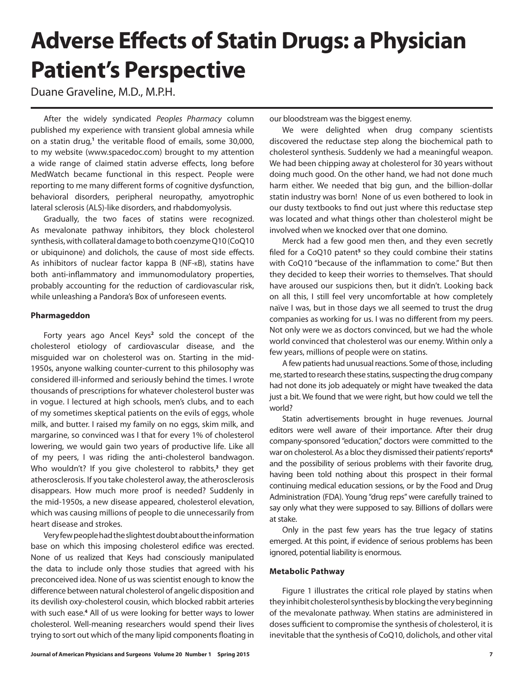# **Adverse Effects of Statin Drugs: a Physician Patient's Perspective**

Duane Graveline, M.D., M.P.H.

After the widely syndicated *Peoples Pharmacy* column published my experience with transient global amnesia while on a statin drug,**<sup>1</sup>** the veritable flood of emails, some 30,000, to my website (www.spacedoc.com) brought to my attention a wide range of claimed statin adverse effects, long before MedWatch became functional in this respect. People were reporting to me many different forms of cognitive dysfunction, behavioral disorders, peripheral neuropathy, amyotrophic lateral sclerosis (ALS)-like disorders, and rhabdomyolysis.

Gradually, the two faces of statins were recognized. As mevalonate pathway inhibitors, they block cholesterol synthesis, with collateral damage to both coenzyme Q10 (CoQ10 or ubiquinone) and dolichols, the cause of most side effects. As inhibitors of nuclear factor kappa B (NF-kB), statins have both anti-inflammatory and immunomodulatory properties, probably accounting for the reduction of cardiovascular risk, while unleashing a Pandora's Box of unforeseen events.

## **Pharmageddon**

Forty years ago Ancel Keys<sup>2</sup> sold the concept of the cholesterol etiology of cardiovascular disease, and the misguided war on cholesterol was on. Starting in the mid-1950s, anyone walking counter-current to this philosophy was considered ill-informed and seriously behind the times. I wrote thousands of prescriptions for whatever cholesterol buster was in vogue. I lectured at high schools, men's clubs, and to each of my sometimes skeptical patients on the evils of eggs, whole milk, and butter. I raised my family on no eggs, skim milk, and margarine, so convinced was I that for every 1% of cholesterol lowering, we would gain two years of productive life. Like all of my peers, I was riding the anti-cholesterol bandwagon. Who wouldn't? If you give cholesterol to rabbits,**<sup>3</sup>** they get atherosclerosis. If you take cholesterol away, the atherosclerosis disappears. How much more proof is needed? Suddenly in the mid-1950s, a new disease appeared, cholesterol elevation, which was causing millions of people to die unnecessarily from heart disease and strokes.

Very few people had the slightest doubt about the information base on which this imposing cholesterol edifice was erected. None of us realized that Keys had consciously manipulated the data to include only those studies that agreed with his preconceived idea. None of us was scientist enough to know the difference between natural cholesterol of angelic disposition and its devilish oxy-cholesterol cousin, which blocked rabbit arteries with such ease.**<sup>4</sup>** All of us were looking for better ways to lower cholesterol. Well-meaning researchers would spend their lives trying to sort out which of the many lipid components floating in

our bloodstream was the biggest enemy.

We were delighted when drug company scientists discovered the reductase step along the biochemical path to cholesterol synthesis. Suddenly we had a meaningful weapon. We had been chipping away at cholesterol for 30 years without doing much good. On the other hand, we had not done much harm either. We needed that big gun, and the billion-dollar statin industry was born! None of us even bothered to look in our dusty textbooks to find out just where this reductase step was located and what things other than cholesterol might be involved when we knocked over that one domino.

Merck had a few good men then, and they even secretly filed for a CoQ10 patent<sup>5</sup> so they could combine their statins with CoQ10 "because of the inflammation to come." But then they decided to keep their worries to themselves. That should have aroused our suspicions then, but it didn't. Looking back on all this, I still feel very uncomfortable at how completely naïve I was, but in those days we all seemed to trust the drug companies as working for us. I was no different from my peers. Not only were we as doctors convinced, but we had the whole world convinced that cholesterol was our enemy. Within only a few years, millions of people were on statins.

A few patients had unusual reactions. Some of those, including me, started to research these statins, suspecting the drug company had not done its job adequately or might have tweaked the data just a bit. We found that we were right, but how could we tell the world?

Statin advertisements brought in huge revenues. Journal editors were well aware of their importance. After their drug company-sponsored "education," doctors were committed to the war on cholesterol. As a bloc they dismissed their patients' reports**<sup>6</sup>** and the possibility of serious problems with their favorite drug, having been told nothing about this prospect in their formal continuing medical education sessions, or by the Food and Drug Administration (FDA). Young "drug reps" were carefully trained to say only what they were supposed to say. Billions of dollars were at stake.

Only in the past few years has the true legacy of statins emerged. At this point, if evidence of serious problems has been ignored, potential liability is enormous.

#### **Metabolic Pathway**

Figure 1 illustrates the critical role played by statins when they inhibit cholesterol synthesis by blocking the very beginning of the mevalonate pathway. When statins are administered in doses sufficient to compromise the synthesis of cholesterol, it is inevitable that the synthesis of CoQ10, dolichols, and other vital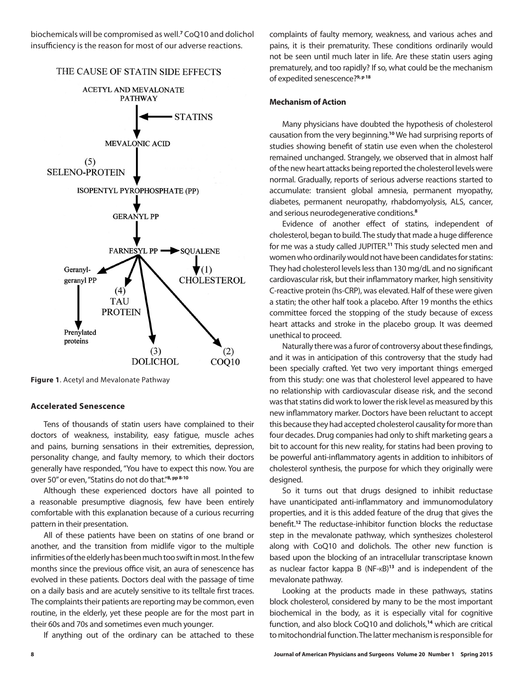biochemicals will be compromised as well.**<sup>7</sup>** CoQ10 and dolichol insufficiency is the reason for most of our adverse reactions.

## THE CAUSE OF STATIN SIDE EFFECTS



**Figure 1**. Acetyl and Mevalonate Pathway

## **Accelerated Senescence**

Tens of thousands of statin users have complained to their doctors of weakness, instability, easy fatigue, muscle aches and pains, burning sensations in their extremities, depression, personality change, and faulty memory, to which their doctors generally have responded, "You have to expect this now. You are over 50" or even, "Statins do not do that."**8, pp 8-10**

Although these experienced doctors have all pointed to a reasonable presumptive diagnosis, few have been entirely comfortable with this explanation because of a curious recurring pattern in their presentation.

All of these patients have been on statins of one brand or another, and the transition from midlife vigor to the multiple infirmities of the elderly has been much too swift in most. In the few months since the previous office visit, an aura of senescence has evolved in these patients. Doctors deal with the passage of time on a daily basis and are acutely sensitive to its telltale first traces. The complaints their patients are reporting may be common, even routine, in the elderly, yet these people are for the most part in their 60s and 70s and sometimes even much younger.

If anything out of the ordinary can be attached to these

complaints of faulty memory, weakness, and various aches and pains, it is their prematurity. These conditions ordinarily would not be seen until much later in life. Are these statin users aging prematurely, and too rapidly? If so, what could be the mechanism of expedited senescence?**9, p 18**

### **Mechanism of Action**

Many physicians have doubted the hypothesis of cholesterol causation from the very beginning.**<sup>10</sup>** We had surprising reports of studies showing benefit of statin use even when the cholesterol remained unchanged. Strangely, we observed that in almost half of the new heart attacks being reported the cholesterol levels were normal. Gradually, reports of serious adverse reactions started to accumulate: transient global amnesia, permanent myopathy, diabetes, permanent neuropathy, rhabdomyolysis, ALS, cancer, and serious neurodegenerative conditions.**<sup>8</sup>**

Evidence of another effect of statins, independent of cholesterol, began to build. The study that made a huge difference for me was a study called JUPITER.**<sup>11</sup>** This study selected men and women who ordinarily would not have been candidates for statins: They had cholesterol levels less than 130 mg/dL and no significant cardiovascular risk, but their inflammatory marker, high sensitivity C-reactive protein (hs-CRP), was elevated. Half of these were given a statin; the other half took a placebo. After 19 months the ethics committee forced the stopping of the study because of excess heart attacks and stroke in the placebo group. It was deemed unethical to proceed.

Naturally there was a furor of controversy about these findings, and it was in anticipation of this controversy that the study had been specially crafted. Yet two very important things emerged from this study: one was that cholesterol level appeared to have no relationship with cardiovascular disease risk, and the second was that statins did work to lower the risk level as measured by this new inflammatory marker. Doctors have been reluctant to accept this because they had accepted cholesterol causality for more than four decades. Drug companies had only to shift marketing gears a bit to account for this new reality, for statins had been proving to be powerful anti-inflammatory agents in addition to inhibitors of cholesterol synthesis, the purpose for which they originally were designed.

So it turns out that drugs designed to inhibit reductase have unanticipated anti-inflammatory and immunomodulatory properties, and it is this added feature of the drug that gives the benefit.**<sup>12</sup>** The reductase-inhibitor function blocks the reductase step in the mevalonate pathway, which synthesizes cholesterol along with CoQ10 and dolichols. The other new function is based upon the blocking of an intracellular transcriptase known as nuclear factor kappa B (NF-kB)**<sup>13</sup>** and is independent of the mevalonate pathway.

Looking at the products made in these pathways, statins block cholesterol, considered by many to be the most important biochemical in the body, as it is especially vital for cognitive function, and also block CoQ10 and dolichols,**<sup>14</sup>** which are critical to mitochondrial function. The latter mechanism is responsible for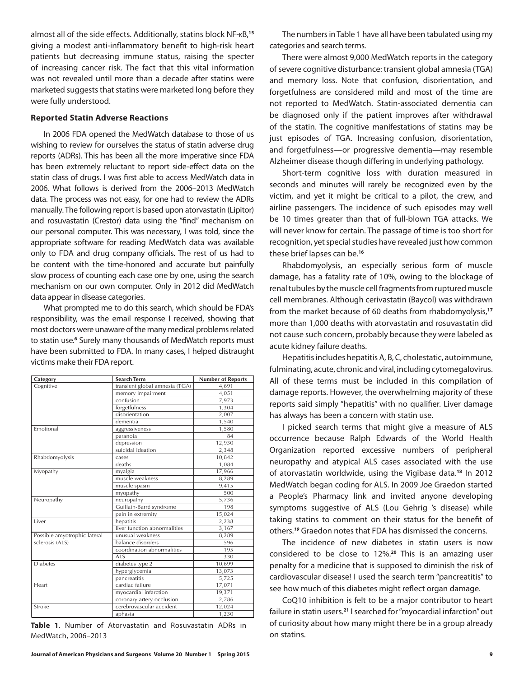almost all of the side effects. Additionally, statins block NF-kB,**<sup>15</sup>** giving a modest anti-inflammatory benefit to high-risk heart patients but decreasing immune status, raising the specter of increasing cancer risk. The fact that this vital information was not revealed until more than a decade after statins were marketed suggests that statins were marketed long before they were fully understood.

## **Reported Statin Adverse Reactions**

In 2006 FDA opened the MedWatch database to those of us wishing to review for ourselves the status of statin adverse drug reports (ADRs). This has been all the more imperative since FDA has been extremely reluctant to report side-effect data on the statin class of drugs. I was first able to access MedWatch data in 2006. What follows is derived from the 2006–2013 MedWatch data. The process was not easy, for one had to review the ADRs manually. The following report is based upon atorvastatin (Lipitor) and rosuvastatin (Crestor) data using the "find" mechanism on our personal computer. This was necessary, I was told, since the appropriate software for reading MedWatch data was available only to FDA and drug company officials. The rest of us had to be content with the time-honored and accurate but painfully slow process of counting each case one by one, using the search mechanism on our own computer. Only in 2012 did MedWatch data appear in disease categories.

What prompted me to do this search, which should be FDA's responsibility, was the email response I received, showing that most doctors were unaware of the many medical problems related to statin use.<sup>6</sup> Surely many thousands of MedWatch reports must have been submitted to FDA. In many cases, I helped distraught victims make their FDA report.

| Category                     | <b>Search Term</b>             | <b>Number of Reports</b> |
|------------------------------|--------------------------------|--------------------------|
| Cognitive                    | transient global amnesia (TGA) | 4.691                    |
|                              | memory impairment              | 4,051                    |
|                              | confusion                      | 7,973                    |
|                              | forgetfulness                  | 1,304                    |
|                              | disorientation                 | 2,007                    |
|                              | dementia                       | 1,540                    |
| Emotional                    | aggressiveness                 | 1,580                    |
|                              | paranoia                       | 84                       |
|                              | depression                     | 12,930                   |
|                              | suicidal ideation              | 2,348                    |
| Rhabdomyolysis               | cases                          | 10,842                   |
|                              | deaths                         | 1,084                    |
| Myopathy                     | myalgia                        | 17,966                   |
|                              | muscle weakness                | 8,289                    |
|                              | muscle spasm                   | 9,415                    |
|                              | myopathy                       | 500                      |
| Neuropathy                   | neuropathy                     | 5,736                    |
|                              | Guillain-Barré syndrome        | 198                      |
|                              | pain in extremity              | 15,024                   |
| Liver                        | hepatitis                      | 2,238                    |
|                              | liver function abnormalities   | 3,167                    |
| Possible amyotrophic lateral | unusual weakness               | 8,289                    |
| sclerosis (ALS)              | balance disorders              | 596                      |
|                              | coordination abnormalities     | 195                      |
|                              | <b>ALS</b>                     | 330                      |
| <b>Diabetes</b>              | diabetes type 2                | 10,699                   |
|                              | hyperglycemia                  | 13,073                   |
|                              | pancreatitis                   | 5,725                    |
| Heart                        | cardiac failure                | 17,071                   |
|                              | myocardial infarction          | 19,371                   |
|                              | coronary artery occlusion      | 2,786                    |
| Stroke                       | cerebrovascular accident       | 12,024                   |
|                              | aphasia                        | 1.230                    |

**Table 1**. Number of Atorvastatin and Rosuvastatin ADRs in MedWatch, 2006–2013

The numbers in Table 1 have all have been tabulated using my categories and search terms.

There were almost 9,000 MedWatch reports in the category of severe cognitive disturbance: transient global amnesia (TGA) and memory loss. Note that confusion, disorientation, and forgetfulness are considered mild and most of the time are not reported to MedWatch. Statin-associated dementia can be diagnosed only if the patient improves after withdrawal of the statin. The cognitive manifestations of statins may be just episodes of TGA. Increasing confusion, disorientation, and forgetfulness—or progressive dementia—may resemble Alzheimer disease though differing in underlying pathology.

Short-term cognitive loss with duration measured in seconds and minutes will rarely be recognized even by the victim, and yet it might be critical to a pilot, the crew, and airline passengers. The incidence of such episodes may well be 10 times greater than that of full-blown TGA attacks. We will never know for certain. The passage of time is too short for recognition, yet special studies have revealed just how common these brief lapses can be.**<sup>16</sup>**

Rhabdomyolysis, an especially serious form of muscle damage, has a fatality rate of 10%, owing to the blockage of renal tubules by the muscle cell fragments from ruptured muscle cell membranes. Although cerivastatin (Baycol) was withdrawn from the market because of 60 deaths from rhabdomyolysis,**<sup>17</sup>** more than 1,000 deaths with atorvastatin and rosuvastatin did not cause such concern, probably because they were labeled as acute kidney failure deaths.

Hepatitis includes hepatitis A, B, C, cholestatic, autoimmune, fulminating, acute, chronic and viral, including cytomegalovirus. All of these terms must be included in this compilation of damage reports. However, the overwhelming majority of these reports said simply "hepatitis" with no qualifier. Liver damage has always has been a concern with statin use.

I picked search terms that might give a measure of ALS occurrence because Ralph Edwards of the World Health Organization reported excessive numbers of peripheral neuropathy and atypical ALS cases associated with the use of atorvastatin worldwide, using the Vigibase data.**<sup>18</sup>** In 2012 MedWatch began coding for ALS. In 2009 Joe Graedon started a People's Pharmacy link and invited anyone developing symptoms suggestive of ALS (Lou Gehrig 's disease) while taking statins to comment on their status for the benefit of others.*<sup>19</sup>* Graedon notes that FDA has dismissed the concerns.

The incidence of new diabetes in statin users is now considered to be close to 12%.**<sup>20</sup>** This is an amazing user penalty for a medicine that is supposed to diminish the risk of cardiovascular disease! I used the search term "pancreatitis" to see how much of this diabetes might reflect organ damage.

CoQ10 inhibition is felt to be a major contributor to heart failure in statin users.**<sup>21</sup>** I searched for "myocardial infarction" out of curiosity about how many might there be in a group already on statins.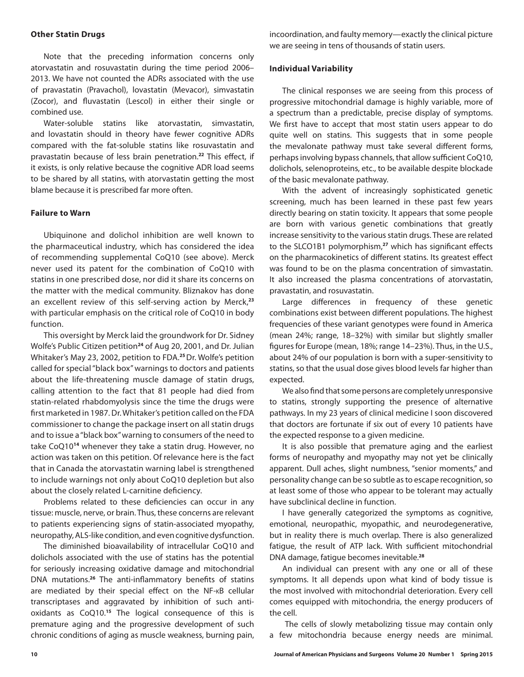### **Other Statin Drugs**

Note that the preceding information concerns only atorvastatin and rosuvastatin during the time period 2006– 2013. We have not counted the ADRs associated with the use of pravastatin (Pravachol), lovastatin (Mevacor), simvastatin (Zocor), and fluvastatin (Lescol) in either their single or combined use.

Water-soluble statins like atorvastatin, simvastatin, and lovastatin should in theory have fewer cognitive ADRs compared with the fat-soluble statins like rosuvastatin and pravastatin because of less brain penetration.**<sup>22</sup>** This effect, if it exists, is only relative because the cognitive ADR load seems to be shared by all statins, with atorvastatin getting the most blame because it is prescribed far more often.

## **Failure to Warn**

Ubiquinone and dolichol inhibition are well known to the pharmaceutical industry, which has considered the idea of recommending supplemental CoQ10 (see above). Merck never used its patent for the combination of CoQ10 with statins in one prescribed dose, nor did it share its concerns on the matter with the medical community. Bliznakov has done an excellent review of this self-serving action by Merck,**<sup>23</sup>** with particular emphasis on the critical role of CoQ10 in body function.

This oversight by Merck laid the groundwork for Dr. Sidney Wolfe's Public Citizen petition**<sup>24</sup>** of Aug 20, 2001, and Dr. Julian Whitaker's May 23, 2002, petition to FDA.**<sup>25</sup>**Dr. Wolfe's petition called for special "black box" warnings to doctors and patients about the life-threatening muscle damage of statin drugs, calling attention to the fact that 81 people had died from statin-related rhabdomyolysis since the time the drugs were first marketed in 1987. Dr. Whitaker's petition called on the FDA commissioner to change the package insert on all statin drugs and to issue a "black box" warning to consumers of the need to take CoQ10**<sup>14</sup>** whenever they take a statin drug. However, no action was taken on this petition. Of relevance here is the fact that in Canada the atorvastatin warning label is strengthened to include warnings not only about CoQ10 depletion but also about the closely related L-carnitine deficiency.

Problems related to these deficiencies can occur in any tissue: muscle, nerve, or brain. Thus, these concerns are relevant to patients experiencing signs of statin-associated myopathy, neuropathy, ALS-like condition, and even cognitive dysfunction.

The diminished bioavailability of intracellular CoQ10 and dolichols associated with the use of statins has the potential for seriously increasing oxidative damage and mitochondrial DNA mutations.**<sup>26</sup>** The anti-inflammatory benefits of statins are mediated by their special effect on the NF-kB cellular transcriptases and aggravated by inhibition of such antioxidants as CoQ10.**<sup>15</sup>** The logical consequence of this is premature aging and the progressive development of such chronic conditions of aging as muscle weakness, burning pain, incoordination, and faulty memory—exactly the clinical picture we are seeing in tens of thousands of statin users.

## **Individual Variability**

The clinical responses we are seeing from this process of progressive mitochondrial damage is highly variable, more of a spectrum than a predictable, precise display of symptoms. We first have to accept that most statin users appear to do quite well on statins. This suggests that in some people the mevalonate pathway must take several different forms, perhaps involving bypass channels, that allow sufficient CoQ10, dolichols, selenoproteins, etc., to be available despite blockade of the basic mevalonate pathway.

With the advent of increasingly sophisticated genetic screening, much has been learned in these past few years directly bearing on statin toxicity. It appears that some people are born with various genetic combinations that greatly increase sensitivity to the various statin drugs. These are related to the SLCO1B1 polymorphism,**<sup>27</sup>** which has significant effects on the pharmacokinetics of different statins. Its greatest effect was found to be on the plasma concentration of simvastatin. It also increased the plasma concentrations of atorvastatin, pravastatin, and rosuvastatin.

Large differences in frequency of these genetic combinations exist between different populations. The highest frequencies of these variant genotypes were found in America (mean 24%; range, 18–32%) with similar but slightly smaller figures for Europe (mean, 18%; range 14–23%). Thus, in the U.S., about 24% of our population is born with a super-sensitivity to statins, so that the usual dose gives blood levels far higher than expected.

We also find that some persons are completely unresponsive to statins, strongly supporting the presence of alternative pathways. In my 23 years of clinical medicine I soon discovered that doctors are fortunate if six out of every 10 patients have the expected response to a given medicine.

It is also possible that premature aging and the earliest forms of neuropathy and myopathy may not yet be clinically apparent. Dull aches, slight numbness, "senior moments," and personality change can be so subtle as to escape recognition, so at least some of those who appear to be tolerant may actually have subclinical decline in function.

I have generally categorized the symptoms as cognitive, emotional, neuropathic, myopathic, and neurodegenerative, but in reality there is much overlap. There is also generalized fatigue, the result of ATP lack. With sufficient mitochondrial DNA damage, fatigue becomes inevitable.**<sup>28</sup>**

An individual can present with any one or all of these symptoms. It all depends upon what kind of body tissue is the most involved with mitochondrial deterioration. Every cell comes equipped with mitochondria, the energy producers of the cell.

 The cells of slowly metabolizing tissue may contain only a few mitochondria because energy needs are minimal.